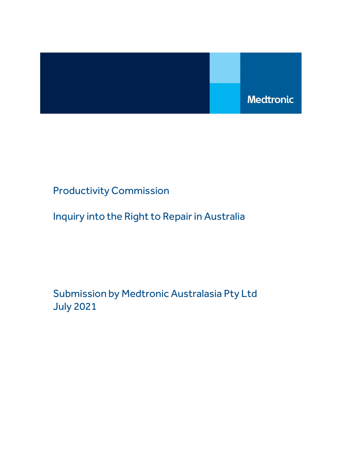

Productivity Commission

Inquiry into the Right to Repair in Australia

Submission by Medtronic Australasia Pty Ltd July 2021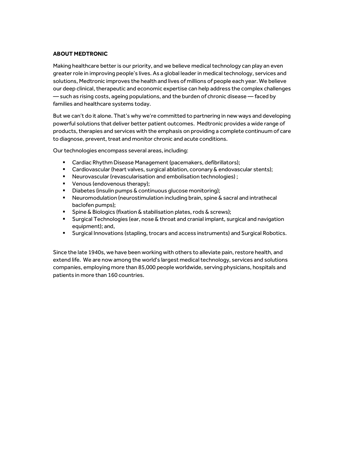# ABOUT MEDTRONIC

Making healthcare better is our priority, and we believe medical technology can play an even greater role in improving people's lives. As a global leader in medical technology, services and solutions, Medtronic improves the health and lives of millions of people each year. We believe our deep clinical, therapeutic and economic expertise can help address the complex challenges — such as rising costs, ageing populations, and the burden of chronic disease — faced by families and healthcare systems today.

But we can't do it alone. That's why we're committed to partnering in new ways and developing powerful solutions that deliver better patient outcomes. Medtronic provides a wide range of products, therapies and services with the emphasis on providing a complete continuum of care to diagnose, prevent, treat and monitor chronic and acute conditions.

Our technologies encompass several areas, including:

- **EXEC** Cardiac Rhythm Disease Management (pacemakers, defibrillators);
- **Cardiovascular (heart valves, surgical ablation, coronary & endovascular stents);**
- Neurovascular (revascularisation and embolisation technologies) ;
- **Venous (endovenous therapy);**
- Diabetes (insulin pumps & continuous glucose monitoring);
- Neuromodulation (neurostimulation including brain, spine & sacral and intrathecal baclofen pumps);
- **Spine & Biologics (fixation & stabilisation plates, rods & screws);**
- Surgical Technologies (ear, nose & throat and cranial implant, surgical and navigation equipment); and,
- Surgical Innovations (stapling, trocars and access instruments) and Surgical Robotics.

Since the late 1940s, we have been working with others to alleviate pain, restore health, and extend life. We are now among the world's largest medical technology, services and solutions companies, employing more than 85,000 people worldwide, serving physicians, hospitals and patients in more than 160 countries.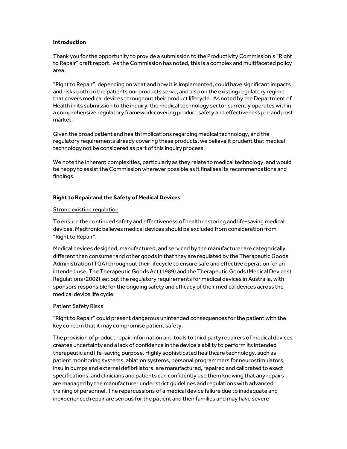### Introduction

Thank you for the opportunity to provide a submission to the Productivity Commission's "Right to Repair" draft report. As the Commission has noted, this is a complex and multifaceted policy area.

"Right to Repair", depending on what and how it is implemented, could have significant impacts and risks both on the patients our products serve, and also on the existing regulatory regime that covers medical devices throughout their product lifecycle. As noted by the Department of Health in its submission to the inquiry, the medical technology sector currently operates within a comprehensive regulatory framework covering product safety and effectiveness pre and post market.

Given the broad patient and health implications regarding medical technology, and the regulatory requirements already covering these products, we believe it prudent that medical technology not be considered as part of this inquiry process.

We note the inherent complexities, particularly as they relate to medical technology, and would be happy to assist the Commission wherever possible as it finalises its recommendations and findings.

## Right to Repair and the Safety of Medical Devices

## Strong existing regulation

To ensure the continued safety and effectiveness of health restoring and life-saving medical devices, Medtronic believes medical devices should be excluded from consideration from "Right to Repair".

Medical devices designed, manufactured, and serviced by the manufacturer are categorically different than consumer and other goods in that they are regulated by the Therapeutic Goods Administration (TGA) throughout their lifecycle to ensure safe and effective operation for an intended use. The Therapeutic Goods Act (1989) and the Therapeutic Goods (Medical Devices) Regulations (2002) set out the regulatory requirements for medical devices in Australia, with sponsors responsible for the ongoing safety and efficacy of their medical devices across the medical device life cycle.

### Patient Safety Risks

"Right to Repair" could present dangerous unintended consequences for the patient with the key concern that it may compromise patient safety.

The provision of product repair information and tools to third party repairers of medical devices creates uncertainty and a lack of confidence in the device's ability to perform its intended therapeutic and life-saving purpose. Highly sophisticated healthcare technology, such as patient monitoring systems, ablation systems, personal programmers for neurostimulators, insulin pumps and external defibrillators, are manufactured, repaired and calibrated to exact specifications, and clinicians and patients can confidently use them knowing that any repairs are managed by the manufacturer under strict guidelines and regulations with advanced training of personnel. The repercussions of a medical device failure due to inadequate and inexperienced repair are serious for the patient and their families and may have severe